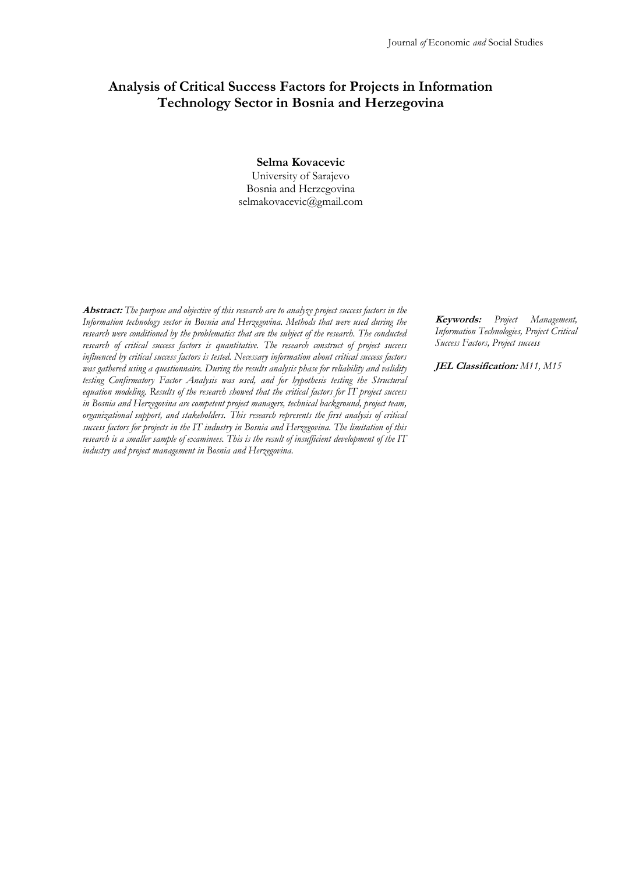# **Analysis of Critical Success Factors for Projects in Information Technology Sector in Bosnia and Herzegovina**

**Selma Kovacevic** University of Sarajevo Bosnia and Herzegovina selmakovacevic@gmail.com

**Abstract:** *The purpose and objective of this research are to analyze project success factors in the Information technology sector in Bosnia and Herzegovina. Methods that were used during the research were conditioned by the problematics that are the subject of the research. The conducted research of critical success factors is quantitative. The research construct of project success influenced by critical success factors is tested. Necessary information about critical success factors was gathered using a questionnaire. During the results analysis phase for reliability and validity testing Confirmatory Factor Analysis was used, and for hypothesis testing the Structural equation modeling. Results of the research showed that the critical factors for IT project success in Bosnia and Herzegovina are competent project managers, technical background, project team, organizational support, and stakeholders. This research represents the first analysis of critical success factors for projects in the IT industry in Bosnia and Herzegovina. The limitation of this research is a smaller sample of examinees. This is the result of insufficient development of the IT industry and project management in Bosnia and Herzegovina.*

**Keywords:** *Project Management, Information Technologies, Project Critical Success Factors, Project success*

**JEL Classification:** *M11, M15*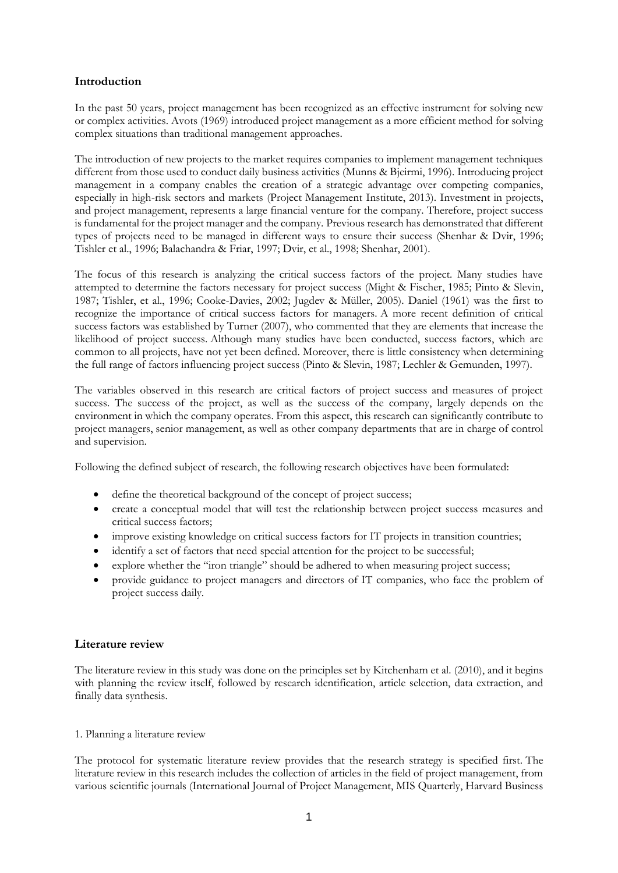## **Introduction**

In the past 50 years, project management has been recognized as an effective instrument for solving new or complex activities. Avots (1969) introduced project management as a more efficient method for solving complex situations than traditional management approaches.

The introduction of new projects to the market requires companies to implement management techniques different from those used to conduct daily business activities (Munns & Bjeirmi, 1996). Introducing project management in a company enables the creation of a strategic advantage over competing companies, especially in high-risk sectors and markets (Project Management Institute, 2013). Investment in projects, and project management, represents a large financial venture for the company. Therefore, project success is fundamental for the project manager and the company. Previous research has demonstrated that different types of projects need to be managed in different ways to ensure their success (Shenhar & Dvir, 1996; Tishler et al., 1996; Balachandra & Friar, 1997; Dvir, et al., 1998; Shenhar, 2001).

The focus of this research is analyzing the critical success factors of the project. Many studies have attempted to determine the factors necessary for project success (Might & Fischer, 1985; Pinto & Slevin, 1987; Tishler, et al., 1996; Cooke-Davies, 2002; Jugdev & Müller, 2005). Daniel (1961) was the first to recognize the importance of critical success factors for managers. A more recent definition of critical success factors was established by Turner (2007), who commented that they are elements that increase the likelihood of project success. Although many studies have been conducted, success factors, which are common to all projects, have not yet been defined. Moreover, there is little consistency when determining the full range of factors influencing project success (Pinto & Slevin, 1987; Lechler & Gemunden, 1997).

The variables observed in this research are critical factors of project success and measures of project success. The success of the project, as well as the success of the company, largely depends on the environment in which the company operates. From this aspect, this research can significantly contribute to project managers, senior management, as well as other company departments that are in charge of control and supervision.

Following the defined subject of research, the following research objectives have been formulated:

- define the theoretical background of the concept of project success;
- create a conceptual model that will test the relationship between project success measures and critical success factors;
- improve existing knowledge on critical success factors for IT projects in transition countries;
- identify a set of factors that need special attention for the project to be successful;
- explore whether the "iron triangle" should be adhered to when measuring project success;
- provide guidance to project managers and directors of IT companies, who face the problem of project success daily.

# **Literature review**

The literature review in this study was done on the principles set by Kitchenham et al. (2010), and it begins with planning the review itself, followed by research identification, article selection, data extraction, and finally data synthesis.

## 1. Planning a literature review

The protocol for systematic literature review provides that the research strategy is specified first. The literature review in this research includes the collection of articles in the field of project management, from various scientific journals (International Journal of Project Management, MIS Quarterly, Harvard Business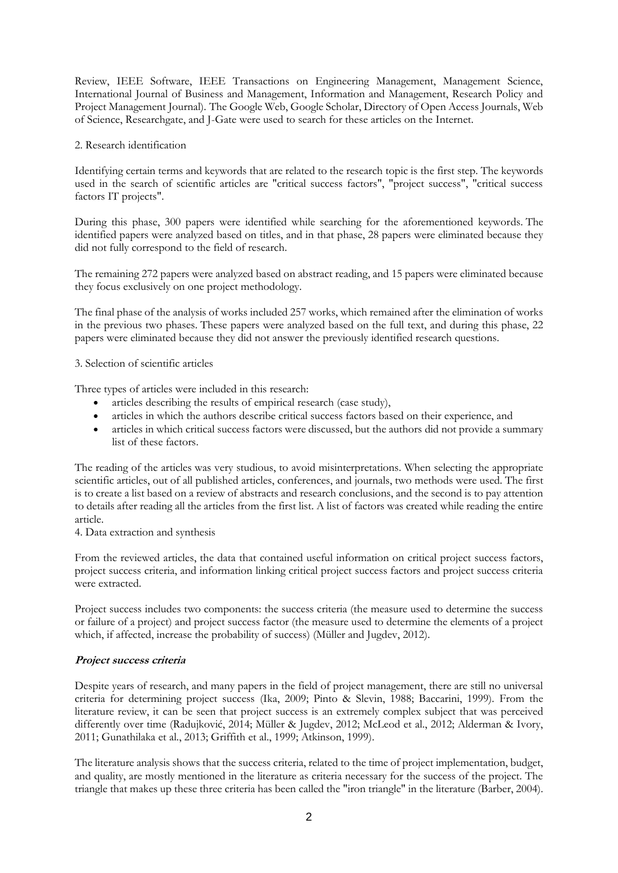Review, IEEE Software, IEEE Transactions on Engineering Management, Management Science, International Journal of Business and Management, Information and Management, Research Policy and Project Management Journal). The Google Web, Google Scholar, Directory of Open Access Journals, Web of Science, Researchgate, and J-Gate were used to search for these articles on the Internet.

#### 2. Research identification

Identifying certain terms and keywords that are related to the research topic is the first step. The keywords used in the search of scientific articles are "critical success factors", "project success", "critical success factors IT projects".

During this phase, 300 papers were identified while searching for the aforementioned keywords. The identified papers were analyzed based on titles, and in that phase, 28 papers were eliminated because they did not fully correspond to the field of research.

The remaining 272 papers were analyzed based on abstract reading, and 15 papers were eliminated because they focus exclusively on one project methodology.

The final phase of the analysis of works included 257 works, which remained after the elimination of works in the previous two phases. These papers were analyzed based on the full text, and during this phase, 22 papers were eliminated because they did not answer the previously identified research questions.

#### 3. Selection of scientific articles

Three types of articles were included in this research:

- articles describing the results of empirical research (case study),
- articles in which the authors describe critical success factors based on their experience, and
- articles in which critical success factors were discussed, but the authors did not provide a summary list of these factors.

The reading of the articles was very studious, to avoid misinterpretations. When selecting the appropriate scientific articles, out of all published articles, conferences, and journals, two methods were used. The first is to create a list based on a review of abstracts and research conclusions, and the second is to pay attention to details after reading all the articles from the first list. A list of factors was created while reading the entire article.

4. Data extraction and synthesis

From the reviewed articles, the data that contained useful information on critical project success factors, project success criteria, and information linking critical project success factors and project success criteria were extracted.

Project success includes two components: the success criteria (the measure used to determine the success or failure of a project) and project success factor (the measure used to determine the elements of a project which, if affected, increase the probability of success) (Müller and Jugdev, 2012).

## **Project success criteria**

Despite years of research, and many papers in the field of project management, there are still no universal criteria for determining project success (Ika, 2009; Pinto & Slevin, 1988; Baccarini, 1999). From the literature review, it can be seen that project success is an extremely complex subject that was perceived differently over time (Radujković, 2014; Müller & Jugdev, 2012; McLeod et al., 2012; Alderman & Ivory, 2011; Gunathilaka et al., 2013; Griffith et al., 1999; Atkinson, 1999).

The literature analysis shows that the success criteria, related to the time of project implementation, budget, and quality, are mostly mentioned in the literature as criteria necessary for the success of the project. The triangle that makes up these three criteria has been called the "iron triangle" in the literature (Barber, 2004).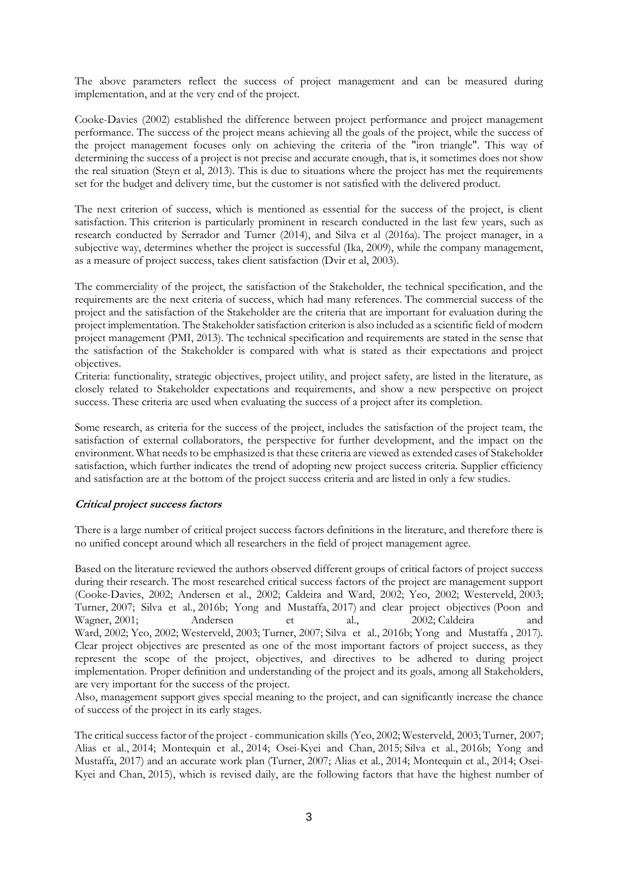The above parameters reflect the success of project management and can be measured during implementation, and at the very end of the project.

Cooke-Davies (2002) established the difference between project performance and project management performance. The success of the project means achieving all the goals of the project, while the success of the project management focuses only on achieving the criteria of the "iron triangle". This way of determining the success of a project is not precise and accurate enough, that is, it sometimes does not show the real situation (Steyn et al, 2013). This is due to situations where the project has met the requirements set for the budget and delivery time, but the customer is not satisfied with the delivered product.

The next criterion of success, which is mentioned as essential for the success of the project, is client satisfaction. This criterion is particularly prominent in research conducted in the last few years, such as research conducted by Serrador and Turner (2014), and Silva et al (2016a). The project manager, in a subjective way, determines whether the project is successful (Ika, 2009), while the company management, as a measure of project success, takes client satisfaction (Dvir et al, 2003).

The commerciality of the project, the satisfaction of the Stakeholder, the technical specification, and the requirements are the next criteria of success, which had many references. The commercial success of the project and the satisfaction of the Stakeholder are the criteria that are important for evaluation during the project implementation. The Stakeholder satisfaction criterion is also included as a scientific field of modern project management (PMI, 2013). The technical specification and requirements are stated in the sense that the satisfaction of the Stakeholder is compared with what is stated as their expectations and project objectives.

Criteria: functionality, strategic objectives, project utility, and project safety, are listed in the literature, as closely related to Stakeholder expectations and requirements, and show a new perspective on project success. These criteria are used when evaluating the success of a project after its completion.

Some research, as criteria for the success of the project, includes the satisfaction of the project team, the satisfaction of external collaborators, the perspective for further development, and the impact on the environment. What needs to be emphasized is that these criteria are viewed as extended cases of Stakeholder satisfaction, which further indicates the trend of adopting new project success criteria. Supplier efficiency and satisfaction are at the bottom of the project success criteria and are listed in only a few studies.

## **Critical project success factors**

There is a large number of critical project success factors definitions in the literature, and therefore there is no unified concept around which all researchers in the field of project management agree.

Based on the literature reviewed the authors observed different groups of critical factors of project success during their research. The most researched critical success factors of the project are management support (Cooke-Davies, 2002; Andersen et al., 2002; Caldeira and Ward, 2002; Yeo, 2002; Westerveld, 2003; Turner, 2007; Silva et al., 2016b; Yong and Mustaffa, 2017) and clear project objectives (Poon and Wagner, 2001; Andersen et al., 2002; Caldeira Ward, 2002; Yeo, 2002; Westerveld, 2003; Turner, 2007; Silva et al., 2016b; Yong and Mustaffa , 2017). Clear project objectives are presented as one of the most important factors of project success, as they represent the scope of the project, objectives, and directives to be adhered to during project implementation. Proper definition and understanding of the project and its goals, among all Stakeholders, are very important for the success of the project.

Also, management support gives special meaning to the project, and can significantly increase the chance of success of the project in its early stages.

The critical success factor of the project - communication skills (Yeo, 2002; Westerveld, 2003; Turner, 2007; Alias et al., 2014; Montequin et al., 2014; Osei-Kyei and Chan, 2015; Silva et al., 2016b; Yong and Mustaffa, 2017) and an accurate work plan (Turner, 2007; Alias et al., 2014; Montequin et al., 2014; Osei-Kyei and Chan, 2015), which is revised daily, are the following factors that have the highest number of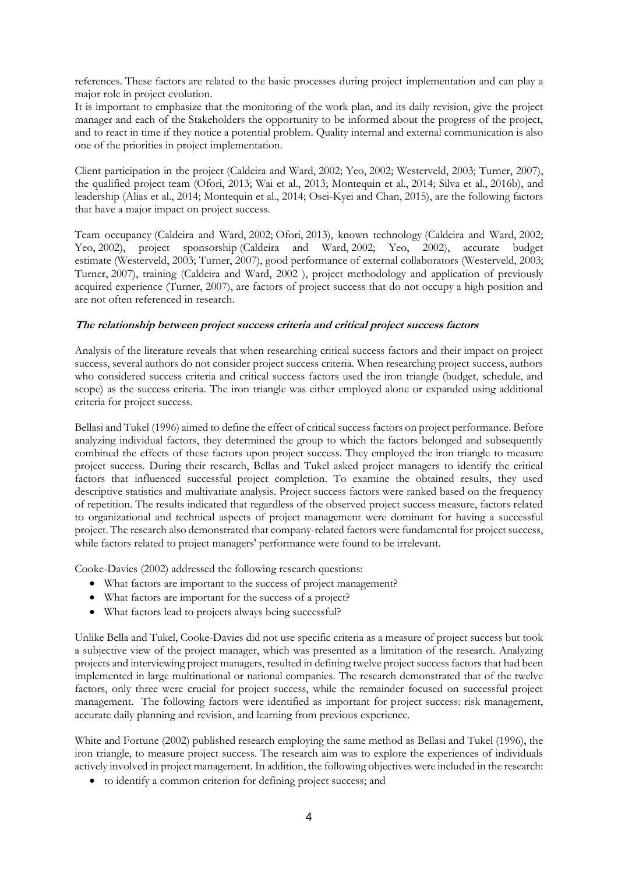references. These factors are related to the basic processes during project implementation and can play a major role in project evolution.

It is important to emphasize that the monitoring of the work plan, and its daily revision, give the project manager and each of the Stakeholders the opportunity to be informed about the progress of the project, and to react in time if they notice a potential problem. Quality internal and external communication is also one of the priorities in project implementation.

Client participation in the project (Caldeira and Ward, 2002; Yeo, 2002; Westerveld, 2003; Turner, 2007), the qualified project team (Ofori, 2013; Wai et al., 2013; Montequin et al., 2014; Silva et al., 2016b), and leadership (Alias et al., 2014; Montequin et al., 2014; Osei-Kyei and Chan, 2015), are the following factors that have a major impact on project success.

Team occupancy (Caldeira and Ward, 2002; Ofori, 2013), known technology (Caldeira and Ward, 2002; Yeo, 2002), project sponsorship (Caldeira and Ward, 2002; Yeo, 2002), accurate budget estimate (Westerveld, 2003; Turner, 2007), good performance of external collaborators (Westerveld, 2003; Turner, 2007), training (Caldeira and Ward, 2002 ), project methodology and application of previously acquired experience (Turner, 2007), are factors of project success that do not occupy a high position and are not often referenced in research.

## **The relationship between project success criteria and critical project success factors**

Analysis of the literature reveals that when researching critical success factors and their impact on project success, several authors do not consider project success criteria. When researching project success, authors who considered success criteria and critical success factors used the iron triangle (budget, schedule, and scope) as the success criteria. The iron triangle was either employed alone or expanded using additional criteria for project success.

Bellasi and Tukel (1996) aimed to define the effect of critical success factors on project performance. Before analyzing individual factors, they determined the group to which the factors belonged and subsequently combined the effects of these factors upon project success. They employed the iron triangle to measure project success. During their research, Bellas and Tukel asked project managers to identify the critical factors that influenced successful project completion. To examine the obtained results, they used descriptive statistics and multivariate analysis. Project success factors were ranked based on the frequency of repetition. The results indicated that regardless of the observed project success measure, factors related to organizational and technical aspects of project management were dominant for having a successful project. The research also demonstrated that company-related factors were fundamental for project success, while factors related to project managers' performance were found to be irrelevant.

Cooke-Davies (2002) addressed the following research questions:

- What factors are important to the success of project management?
- What factors are important for the success of a project?
- What factors lead to projects always being successful?

Unlike Bella and Tukel, Cooke-Davies did not use specific criteria as a measure of project success but took a subjective view of the project manager, which was presented as a limitation of the research. Analyzing projects and interviewing project managers, resulted in defining twelve project success factors that had been implemented in large multinational or national companies. The research demonstrated that of the twelve factors, only three were crucial for project success, while the remainder focused on successful project management. The following factors were identified as important for project success: risk management, accurate daily planning and revision, and learning from previous experience.

White and Fortune (2002) published research employing the same method as Bellasi and Tukel (1996), the iron triangle, to measure project success. The research aim was to explore the experiences of individuals actively involved in project management. In addition, the following objectives were included in the research:

• to identify a common criterion for defining project success; and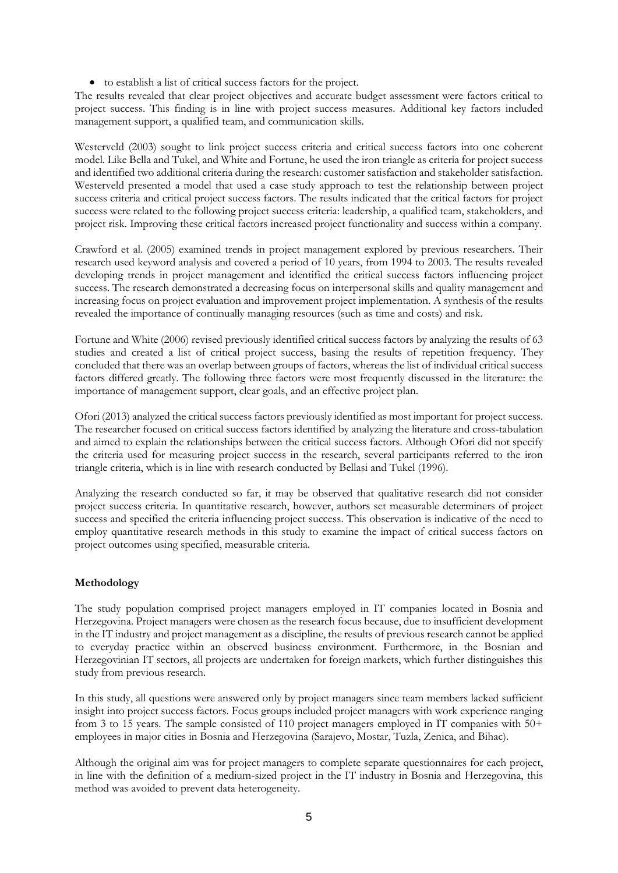• to establish a list of critical success factors for the project.

The results revealed that clear project objectives and accurate budget assessment were factors critical to project success. This finding is in line with project success measures. Additional key factors included management support, a qualified team, and communication skills.

Westerveld (2003) sought to link project success criteria and critical success factors into one coherent model. Like Bella and Tukel, and White and Fortune, he used the iron triangle as criteria for project success and identified two additional criteria during the research: customer satisfaction and stakeholder satisfaction. Westerveld presented a model that used a case study approach to test the relationship between project success criteria and critical project success factors. The results indicated that the critical factors for project success were related to the following project success criteria: leadership, a qualified team, stakeholders, and project risk. Improving these critical factors increased project functionality and success within a company.

Crawford et al. (2005) examined trends in project management explored by previous researchers. Their research used keyword analysis and covered a period of 10 years, from 1994 to 2003. The results revealed developing trends in project management and identified the critical success factors influencing project success. The research demonstrated a decreasing focus on interpersonal skills and quality management and increasing focus on project evaluation and improvement project implementation. A synthesis of the results revealed the importance of continually managing resources (such as time and costs) and risk.

Fortune and White (2006) revised previously identified critical success factors by analyzing the results of 63 studies and created a list of critical project success, basing the results of repetition frequency. They concluded that there was an overlap between groups of factors, whereas the list of individual critical success factors differed greatly. The following three factors were most frequently discussed in the literature: the importance of management support, clear goals, and an effective project plan.

Ofori (2013) analyzed the critical success factors previously identified as most important for project success. The researcher focused on critical success factors identified by analyzing the literature and cross-tabulation and aimed to explain the relationships between the critical success factors. Although Ofori did not specify the criteria used for measuring project success in the research, several participants referred to the iron triangle criteria, which is in line with research conducted by Bellasi and Tukel (1996).

Analyzing the research conducted so far, it may be observed that qualitative research did not consider project success criteria. In quantitative research, however, authors set measurable determiners of project success and specified the criteria influencing project success. This observation is indicative of the need to employ quantitative research methods in this study to examine the impact of critical success factors on project outcomes using specified, measurable criteria.

# **Methodology**

The study population comprised project managers employed in IT companies located in Bosnia and Herzegovina. Project managers were chosen as the research focus because, due to insufficient development in the IT industry and project management as a discipline, the results of previous research cannot be applied to everyday practice within an observed business environment. Furthermore, in the Bosnian and Herzegovinian IT sectors, all projects are undertaken for foreign markets, which further distinguishes this study from previous research.

In this study, all questions were answered only by project managers since team members lacked sufficient insight into project success factors. Focus groups included project managers with work experience ranging from 3 to 15 years. The sample consisted of 110 project managers employed in IT companies with 50+ employees in major cities in Bosnia and Herzegovina (Sarajevo, Mostar, Tuzla, Zenica, and Bihac).

Although the original aim was for project managers to complete separate questionnaires for each project, in line with the definition of a medium-sized project in the IT industry in Bosnia and Herzegovina, this method was avoided to prevent data heterogeneity.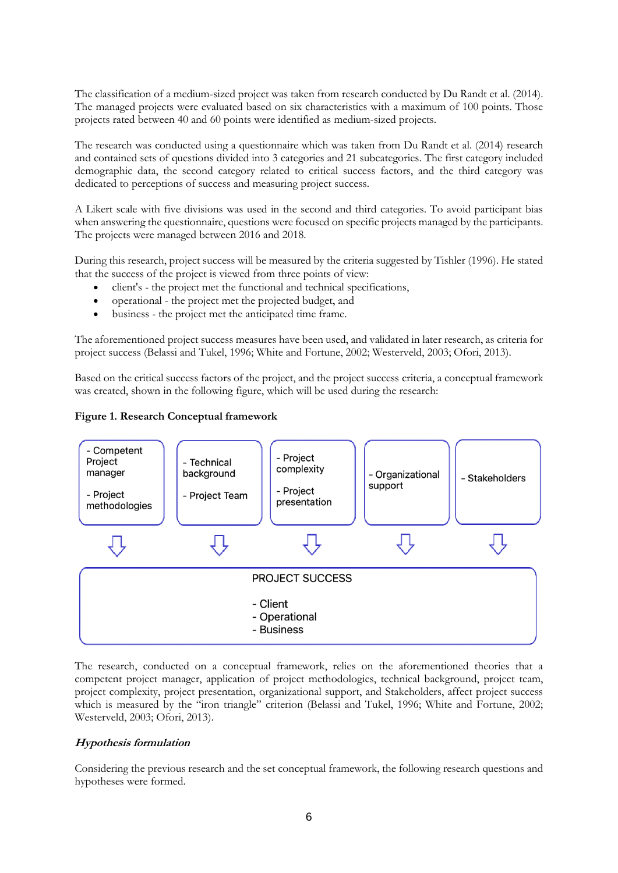The classification of a medium-sized project was taken from research conducted by Du Randt et al. (2014). The managed projects were evaluated based on six characteristics with a maximum of 100 points. Those projects rated between 40 and 60 points were identified as medium-sized projects.

The research was conducted using a questionnaire which was taken from Du Randt et al. (2014) research and contained sets of questions divided into 3 categories and 21 subcategories. The first category included demographic data, the second category related to critical success factors, and the third category was dedicated to perceptions of success and measuring project success.

A Likert scale with five divisions was used in the second and third categories. To avoid participant bias when answering the questionnaire, questions were focused on specific projects managed by the participants. The projects were managed between 2016 and 2018.

During this research, project success will be measured by the criteria suggested by Tishler (1996). He stated that the success of the project is viewed from three points of view:

- client's the project met the functional and technical specifications,
- operational the project met the projected budget, and
- business the project met the anticipated time frame.

The aforementioned project success measures have been used, and validated in later research, as criteria for project success (Belassi and Tukel, 1996; White and Fortune, 2002; Westerveld, 2003; Ofori, 2013).

Based on the critical success factors of the project, and the project success criteria, a conceptual framework was created, shown in the following figure, which will be used during the research:

## **Figure 1. Research Conceptual framework**



The research, conducted on a conceptual framework, relies on the aforementioned theories that a competent project manager, application of project methodologies, technical background, project team, project complexity, project presentation, organizational support, and Stakeholders, affect project success which is measured by the "iron triangle" criterion (Belassi and Tukel, 1996; White and Fortune, 2002; Westerveld, 2003; Ofori, 2013).

# **Hypothesis formulation**

Considering the previous research and the set conceptual framework, the following research questions and hypotheses were formed.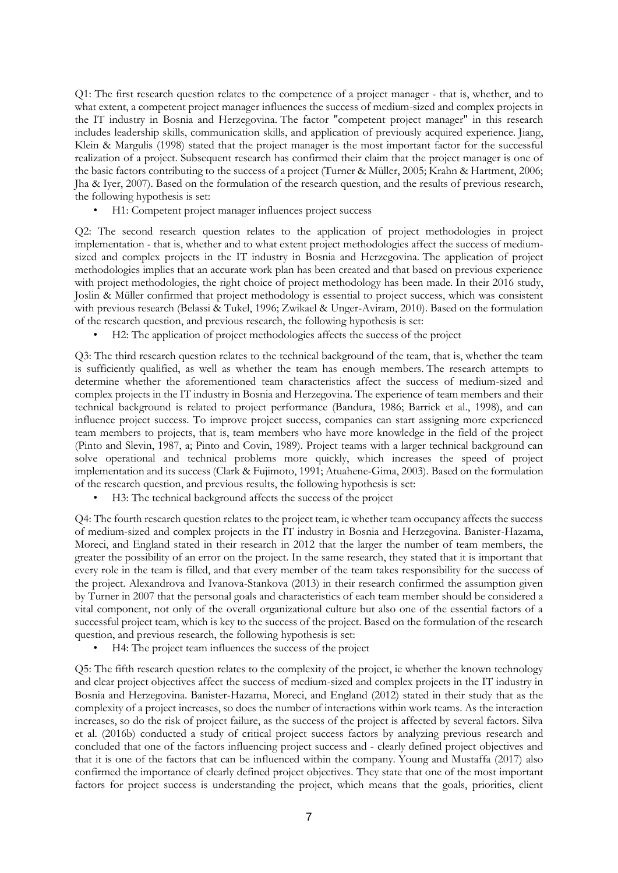Q1: The first research question relates to the competence of a project manager - that is, whether, and to what extent, a competent project manager influences the success of medium-sized and complex projects in the IT industry in Bosnia and Herzegovina. The factor "competent project manager" in this research includes leadership skills, communication skills, and application of previously acquired experience. Jiang, Klein & Margulis (1998) stated that the project manager is the most important factor for the successful realization of a project. Subsequent research has confirmed their claim that the project manager is one of the basic factors contributing to the success of a project (Turner & Müller, 2005; Krahn & Hartment, 2006; Jha & Iyer, 2007). Based on the formulation of the research question, and the results of previous research, the following hypothesis is set:

• H1: Competent project manager influences project success

Q2: The second research question relates to the application of project methodologies in project implementation - that is, whether and to what extent project methodologies affect the success of mediumsized and complex projects in the IT industry in Bosnia and Herzegovina. The application of project methodologies implies that an accurate work plan has been created and that based on previous experience with project methodologies, the right choice of project methodology has been made. In their 2016 study, Joslin & Müller confirmed that project methodology is essential to project success, which was consistent with previous research (Belassi & Tukel, 1996; Zwikael & Unger-Aviram, 2010). Based on the formulation of the research question, and previous research, the following hypothesis is set:

• H2: The application of project methodologies affects the success of the project

Q3: The third research question relates to the technical background of the team, that is, whether the team is sufficiently qualified, as well as whether the team has enough members. The research attempts to determine whether the aforementioned team characteristics affect the success of medium-sized and complex projects in the IT industry in Bosnia and Herzegovina. The experience of team members and their technical background is related to project performance (Bandura, 1986; Barrick et al., 1998), and can influence project success. To improve project success, companies can start assigning more experienced team members to projects, that is, team members who have more knowledge in the field of the project (Pinto and Slevin, 1987, a; Pinto and Covin, 1989). Project teams with a larger technical background can solve operational and technical problems more quickly, which increases the speed of project implementation and its success (Clark & Fujimoto, 1991; Atuahene-Gima, 2003). Based on the formulation of the research question, and previous results, the following hypothesis is set:

• H3: The technical background affects the success of the project

Q4: The fourth research question relates to the project team, ie whether team occupancy affects the success of medium-sized and complex projects in the IT industry in Bosnia and Herzegovina. Banister-Hazama, Moreci, and England stated in their research in 2012 that the larger the number of team members, the greater the possibility of an error on the project. In the same research, they stated that it is important that every role in the team is filled, and that every member of the team takes responsibility for the success of the project. Alexandrova and Ivanova-Stankova (2013) in their research confirmed the assumption given by Turner in 2007 that the personal goals and characteristics of each team member should be considered a vital component, not only of the overall organizational culture but also one of the essential factors of a successful project team, which is key to the success of the project. Based on the formulation of the research question, and previous research, the following hypothesis is set:

• H4: The project team influences the success of the project

Q5: The fifth research question relates to the complexity of the project, ie whether the known technology and clear project objectives affect the success of medium-sized and complex projects in the IT industry in Bosnia and Herzegovina. Banister-Hazama, Moreci, and England (2012) stated in their study that as the complexity of a project increases, so does the number of interactions within work teams. As the interaction increases, so do the risk of project failure, as the success of the project is affected by several factors. Silva et al. (2016b) conducted a study of critical project success factors by analyzing previous research and concluded that one of the factors influencing project success and - clearly defined project objectives and that it is one of the factors that can be influenced within the company. Young and Mustaffa (2017) also confirmed the importance of clearly defined project objectives. They state that one of the most important factors for project success is understanding the project, which means that the goals, priorities, client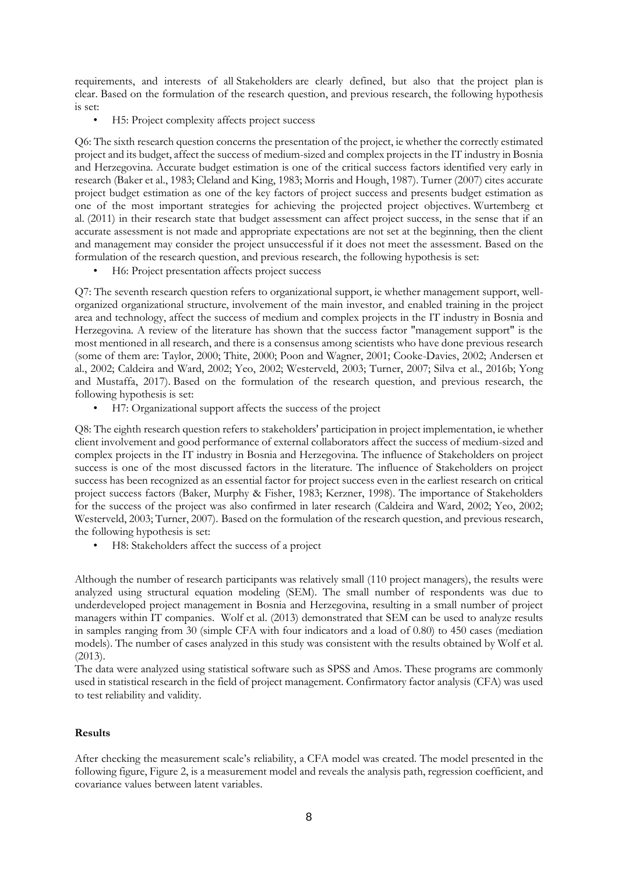requirements, and interests of all Stakeholders are clearly defined, but also that the project plan is clear. Based on the formulation of the research question, and previous research, the following hypothesis is set:

• H5: Project complexity affects project success

Q6: The sixth research question concerns the presentation of the project, ie whether the correctly estimated project and its budget, affect the success of medium-sized and complex projects in the IT industry in Bosnia and Herzegovina. Accurate budget estimation is one of the critical success factors identified very early in research (Baker et al., 1983; Cleland and King, 1983; Morris and Hough, 1987). Turner (2007) cites accurate project budget estimation as one of the key factors of project success and presents budget estimation as one of the most important strategies for achieving the projected project objectives. Wurtemberg et al. (2011) in their research state that budget assessment can affect project success, in the sense that if an accurate assessment is not made and appropriate expectations are not set at the beginning, then the client and management may consider the project unsuccessful if it does not meet the assessment. Based on the formulation of the research question, and previous research, the following hypothesis is set:

• H6: Project presentation affects project success

Q7: The seventh research question refers to organizational support, ie whether management support, wellorganized organizational structure, involvement of the main investor, and enabled training in the project area and technology, affect the success of medium and complex projects in the IT industry in Bosnia and Herzegovina. A review of the literature has shown that the success factor "management support" is the most mentioned in all research, and there is a consensus among scientists who have done previous research (some of them are: Taylor, 2000; Thite, 2000; Poon and Wagner, 2001; Cooke-Davies, 2002; Andersen et al., 2002; Caldeira and Ward, 2002; Yeo, 2002; Westerveld, 2003; Turner, 2007; Silva et al., 2016b; Yong and Mustaffa, 2017). Based on the formulation of the research question, and previous research, the following hypothesis is set:

• H7: Organizational support affects the success of the project

Q8: The eighth research question refers to stakeholders' participation in project implementation, ie whether client involvement and good performance of external collaborators affect the success of medium-sized and complex projects in the IT industry in Bosnia and Herzegovina. The influence of Stakeholders on project success is one of the most discussed factors in the literature. The influence of Stakeholders on project success has been recognized as an essential factor for project success even in the earliest research on critical project success factors (Baker, Murphy & Fisher, 1983; Kerzner, 1998). The importance of Stakeholders for the success of the project was also confirmed in later research (Caldeira and Ward, 2002; Yeo, 2002; Westerveld, 2003; Turner, 2007). Based on the formulation of the research question, and previous research, the following hypothesis is set:

H8: Stakeholders affect the success of a project

Although the number of research participants was relatively small (110 project managers), the results were analyzed using structural equation modeling (SEM). The small number of respondents was due to underdeveloped project management in Bosnia and Herzegovina, resulting in a small number of project managers within IT companies. Wolf et al. (2013) demonstrated that SEM can be used to analyze results in samples ranging from 30 (simple CFA with four indicators and a load of 0.80) to 450 cases (mediation models). The number of cases analyzed in this study was consistent with the results obtained by Wolf et al. (2013).

The data were analyzed using statistical software such as SPSS and Amos. These programs are commonly used in statistical research in the field of project management. Confirmatory factor analysis (CFA) was used to test reliability and validity.

## **Results**

After checking the measurement scale's reliability, a CFA model was created. The model presented in the following figure, Figure 2, is a measurement model and reveals the analysis path, regression coefficient, and covariance values between latent variables.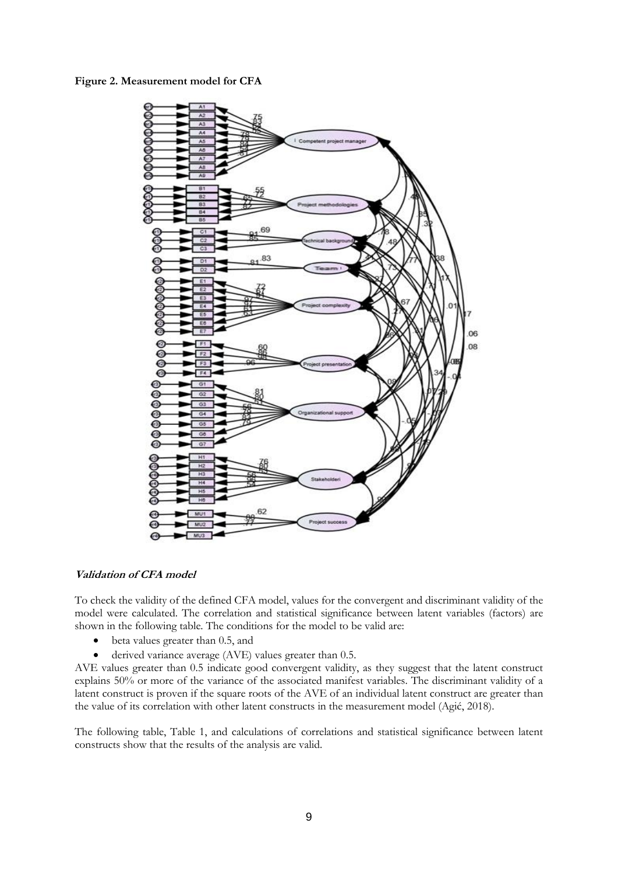**Figure 2. Measurement model for CFA**



## **Validation of CFA model**

To check the validity of the defined CFA model, values for the convergent and discriminant validity of the model were calculated. The correlation and statistical significance between latent variables (factors) are shown in the following table. The conditions for the model to be valid are:

- beta values greater than 0.5, and
- derived variance average (AVE) values greater than 0.5.

AVE values greater than 0.5 indicate good convergent validity, as they suggest that the latent construct explains 50% or more of the variance of the associated manifest variables. The discriminant validity of a latent construct is proven if the square roots of the AVE of an individual latent construct are greater than the value of its correlation with other latent constructs in the measurement model (Agić, 2018).

The following table, Table 1, and calculations of correlations and statistical significance between latent constructs show that the results of the analysis are valid.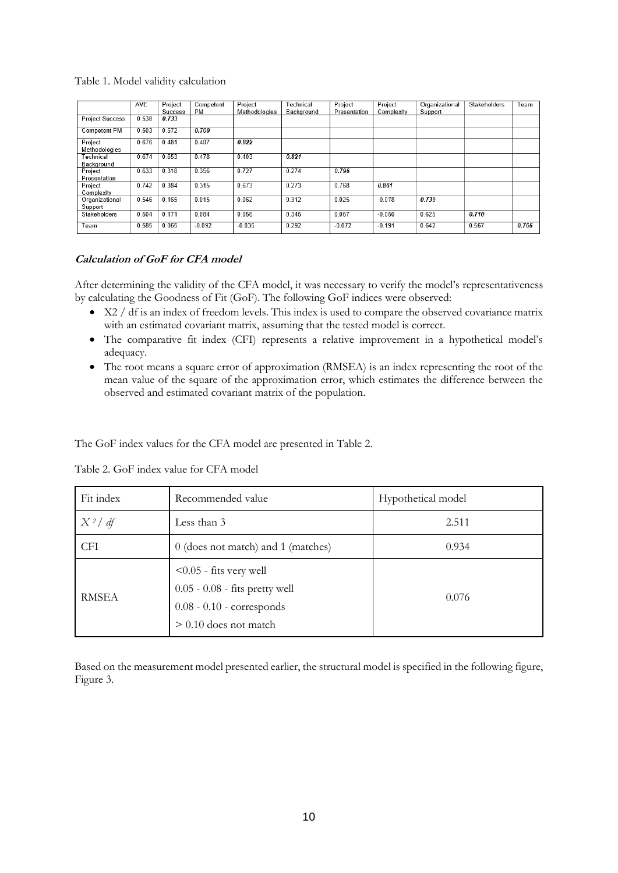## Table 1. Model validity calculation

|                           | AVE   | Project | Competent | Project       | Technical  | Project      | Project    | Organizational | Stakeholders | Team  |
|---------------------------|-------|---------|-----------|---------------|------------|--------------|------------|----------------|--------------|-------|
|                           |       | Success | <b>PM</b> | Methodologies | Background | Presentation | Complexity | Support        |              |       |
| <b>Project Success</b>    | 0.538 | 0.733   |           |               |            |              |            |                |              |       |
| Competent PM              | 0.503 | 0.572   | 0.709     |               |            |              |            |                |              |       |
| Project<br>Methodologies  | 0.676 | 0.481   | 0.407     | 0.822         |            |              |            |                |              |       |
| Technical<br>Background   | 0.674 | 0.653   | 0.478     | 0.403         | 0.821      |              |            |                |              |       |
| Project<br>Presentation   | 0.633 | 0.318   | 0.356     | 0.727         | 0.274      | 0.796        |            |                |              |       |
| Project<br>Complexity     | 0.742 | 0.384   | 0.315     | 0.673         | 0.273      | 0.768        | 0.861      |                |              |       |
| Organizational<br>Support | 0.546 | 0.165   | 0.015     | 0.062         | 0.312      | 0.025        | $-0.078$   | 0.739          |              |       |
| Stakeholders              | 0.504 | 0.171   | 0.084     | 0.056         | 0.345      | 0.067        | $-0.050$   | 0.625          | 0.710        |       |
| Team                      | 0.585 | 0.065   | $-0.092$  | $-0.036$      | 0.292      | $-0.072$     | $-0.191$   | 0.642          | 0.567        | 0.765 |

#### **Calculation of GoF for CFA model**

After determining the validity of the CFA model, it was necessary to verify the model's representativeness by calculating the Goodness of Fit (GoF). The following GoF indices were observed:

- X2 / df is an index of freedom levels. This index is used to compare the observed covariance matrix with an estimated covariant matrix, assuming that the tested model is correct.
- The comparative fit index (CFI) represents a relative improvement in a hypothetical model's adequacy.
- The root means a square error of approximation (RMSEA) is an index representing the root of the mean value of the square of the approximation error, which estimates the difference between the observed and estimated covariant matrix of the population.

The GoF index values for the CFA model are presented in Table 2.

| Fit index    | Recommended value                                                                                                       | Hypothetical model |  |  |
|--------------|-------------------------------------------------------------------------------------------------------------------------|--------------------|--|--|
| $X^2/df$     | Less than 3                                                                                                             | 2.511              |  |  |
| <b>CFI</b>   | 0 (does not match) and 1 (matches)                                                                                      | 0.934              |  |  |
| <b>RMSEA</b> | $< 0.05$ - fits very well<br>$0.05 - 0.08$ - fits pretty well<br>$0.08 - 0.10$ - corresponds<br>$> 0.10$ does not match | 0.076              |  |  |

Table 2. GoF index value for CFA model

Based on the measurement model presented earlier, the structural model is specified in the following figure, Figure 3.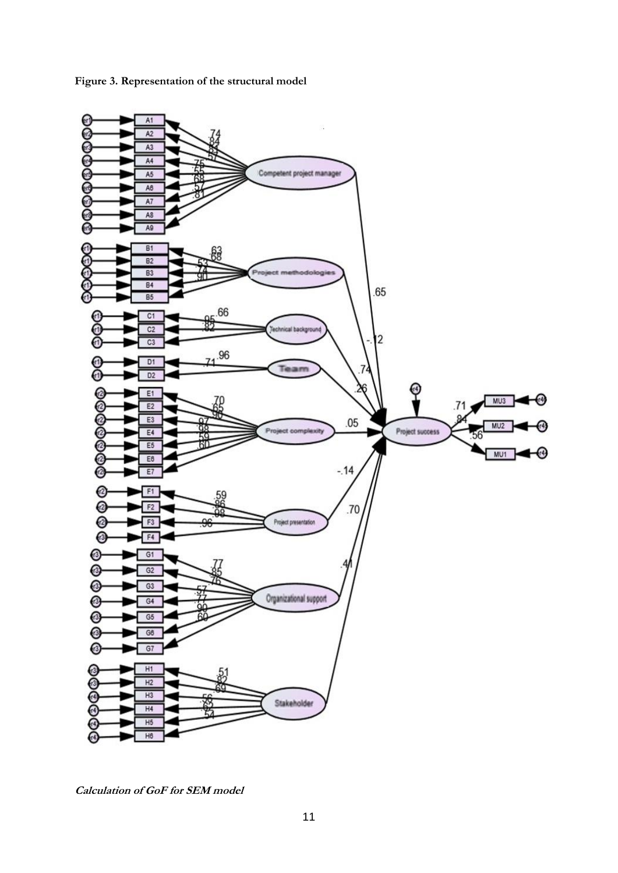

**Figure 3. Representation of the structural model**

**Calculation of GoF for SEM model**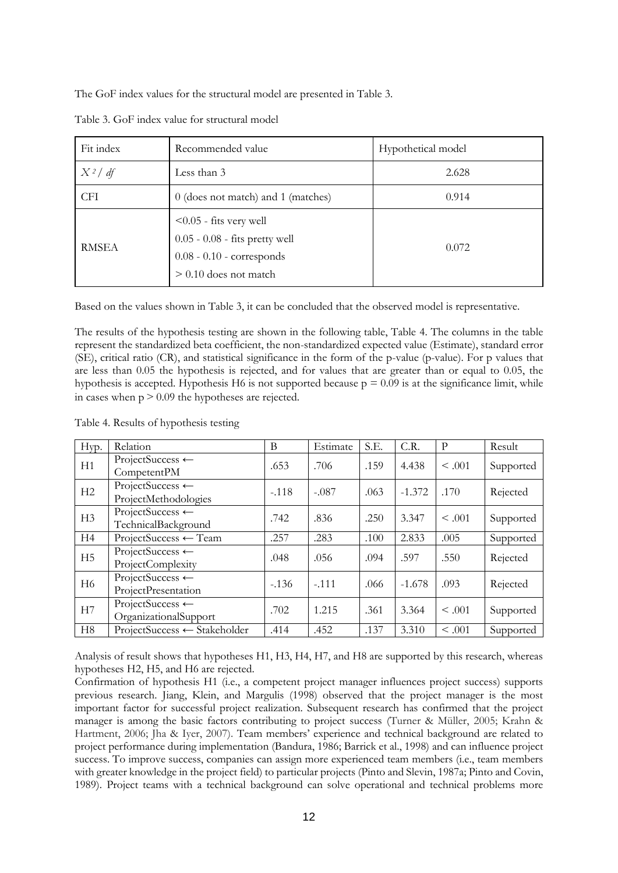The GoF index values for the structural model are presented in Table 3.

| Fit index    | Recommended value                                                                                                     | Hypothetical model |  |  |
|--------------|-----------------------------------------------------------------------------------------------------------------------|--------------------|--|--|
| $X^2/df$     | Less than 3                                                                                                           | 2.628              |  |  |
| <b>CFI</b>   | 0 (does not match) and 1 (matches)                                                                                    | 0.914              |  |  |
| <b>RMSEA</b> | $< 0.05$ - fits very well<br>0.05 - 0.08 - fits pretty well<br>$0.08 - 0.10$ - corresponds<br>$> 0.10$ does not match | 0.072              |  |  |

Table 3. GoF index value for structural model

Based on the values shown in Table 3, it can be concluded that the observed model is representative.

The results of the hypothesis testing are shown in the following table, Table 4. The columns in the table represent the standardized beta coefficient, the non-standardized expected value (Estimate), standard error (SE), critical ratio (CR), and statistical significance in the form of the p-value (p-value). For p values that are less than 0.05 the hypothesis is rejected, and for values that are greater than or equal to 0.05, the hypothesis is accepted. Hypothesis H6 is not supported because  $p = 0.09$  is at the significance limit, while in cases when  $p > 0.09$  the hypotheses are rejected.

Table 4. Results of hypothesis testing

| Hyp.           | Relation                                             | B       | Estimate | S.E. | C.R.     | P           | Result    |
|----------------|------------------------------------------------------|---------|----------|------|----------|-------------|-----------|
| H1             | ProjectSuccess $\leftarrow$<br>CompetentPM           | .653    | .706     | .159 | 4.438    | $\leq .001$ | Supported |
| H2             | ProjectSuccess $\leftarrow$<br>ProjectMethodologies  | $-.118$ | $-.087$  | .063 | $-1.372$ | .170        | Rejected  |
| H3             | ProjectSuccess $\leftarrow$<br>TechnicalBackground   | .742    | .836     | .250 | 3.347    | $\leq .001$ | Supported |
| H4             | $ProjectSuccess \leftarrow Team$                     | .257    | .283     | .100 | 2.833    | .005        | Supported |
| H <sub>5</sub> | ProjectSuccess ←<br>ProjectComplexity                | .048    | .056     | .094 | .597     | .550        | Rejected  |
| H <sub>6</sub> | ProjectSuccess $\leftarrow$<br>ProjectPresentation   | $-136$  | $-.111$  | .066 | $-1.678$ | .093        | Rejected  |
| H7             | ProjectSuccess $\leftarrow$<br>OrganizationalSupport | .702    | 1.215    | .361 | 3.364    | < 0.01      | Supported |
| H <sub>8</sub> | ProjectSuccess ← Stakeholder                         | .414    | .452     | .137 | 3.310    | < .001      | Supported |

Analysis of result shows that hypotheses H1, H3, H4, H7, and H8 are supported by this research, whereas hypotheses H2, H5, and H6 are rejected.

Confirmation of hypothesis H1 (i.e., a competent project manager influences project success) supports previous research. Jiang, Klein, and Margulis (1998) observed that the project manager is the most important factor for successful project realization. Subsequent research has confirmed that the project manager is among the basic factors contributing to project success (Turner & Müller, 2005; Krahn & Hartment, 2006; Jha & Iyer, 2007). Team members' experience and technical background are related to project performance during implementation (Bandura, 1986; Barrick et al., 1998) and can influence project success. To improve success, companies can assign more experienced team members (i.e., team members with greater knowledge in the project field) to particular projects (Pinto and Slevin, 1987a; Pinto and Covin, 1989). Project teams with a technical background can solve operational and technical problems more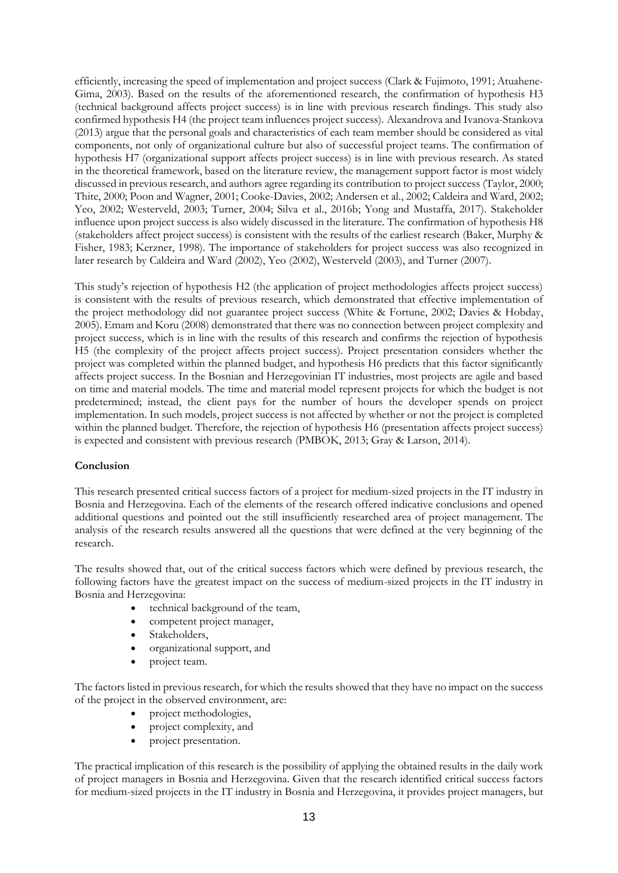efficiently, increasing the speed of implementation and project success (Clark & Fujimoto, 1991; Atuahene-Gima, 2003). Based on the results of the aforementioned research, the confirmation of hypothesis H3 (technical background affects project success) is in line with previous research findings. This study also confirmed hypothesis H4 (the project team influences project success). Alexandrova and Ivanova-Stankova (2013) argue that the personal goals and characteristics of each team member should be considered as vital components, not only of organizational culture but also of successful project teams. The confirmation of hypothesis H7 (organizational support affects project success) is in line with previous research. As stated in the theoretical framework, based on the literature review, the management support factor is most widely discussed in previous research, and authors agree regarding its contribution to project success (Taylor, 2000; Thite, 2000; Poon and Wagner, 2001; Cooke-Davies, 2002; Andersen et al., 2002; Caldeira and Ward, 2002; Yeo, 2002; Westerveld, 2003; Turner, 2004; Silva et al., 2016b; Yong and Mustaffa, 2017). Stakeholder influence upon project success is also widely discussed in the literature. The confirmation of hypothesis H8 (stakeholders affect project success) is consistent with the results of the earliest research (Baker, Murphy & Fisher, 1983; Kerzner, 1998). The importance of stakeholders for project success was also recognized in later research by Caldeira and Ward (2002), Yeo (2002), Westerveld (2003), and Turner (2007).

This study's rejection of hypothesis H2 (the application of project methodologies affects project success) is consistent with the results of previous research, which demonstrated that effective implementation of the project methodology did not guarantee project success (White & Fortune, 2002; Davies & Hobday, 2005). Emam and Koru (2008) demonstrated that there was no connection between project complexity and project success, which is in line with the results of this research and confirms the rejection of hypothesis H5 (the complexity of the project affects project success). Project presentation considers whether the project was completed within the planned budget, and hypothesis H6 predicts that this factor significantly affects project success. In the Bosnian and Herzegovinian IT industries, most projects are agile and based on time and material models. The time and material model represent projects for which the budget is not predetermined; instead, the client pays for the number of hours the developer spends on project implementation. In such models, project success is not affected by whether or not the project is completed within the planned budget. Therefore, the rejection of hypothesis H6 (presentation affects project success) is expected and consistent with previous research (PMBOK, 2013; Gray & Larson, 2014).

## **Conclusion**

This research presented critical success factors of a project for medium-sized projects in the IT industry in Bosnia and Herzegovina. Each of the elements of the research offered indicative conclusions and opened additional questions and pointed out the still insufficiently researched area of project management. The analysis of the research results answered all the questions that were defined at the very beginning of the research.

The results showed that, out of the critical success factors which were defined by previous research, the following factors have the greatest impact on the success of medium-sized projects in the IT industry in Bosnia and Herzegovina:

- technical background of the team.
- competent project manager,
- Stakeholders,
- organizational support, and
- project team.

The factors listed in previous research, for which the results showed that they have no impact on the success of the project in the observed environment, are:

- project methodologies,
- project complexity, and
- project presentation.

The practical implication of this research is the possibility of applying the obtained results in the daily work of project managers in Bosnia and Herzegovina. Given that the research identified critical success factors for medium-sized projects in the IT industry in Bosnia and Herzegovina, it provides project managers, but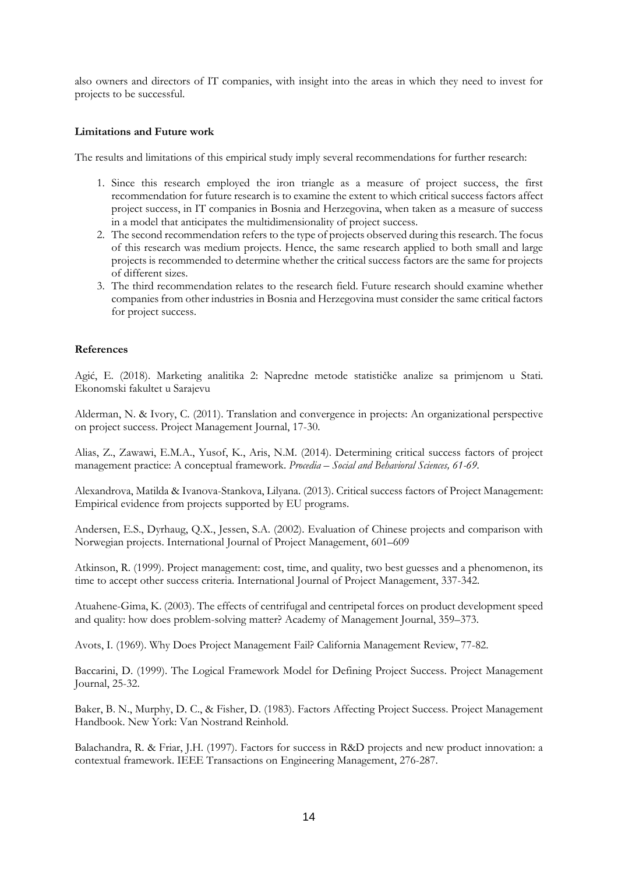also owners and directors of IT companies, with insight into the areas in which they need to invest for projects to be successful.

#### **Limitations and Future work**

The results and limitations of this empirical study imply several recommendations for further research:

- 1. Since this research employed the iron triangle as a measure of project success, the first recommendation for future research is to examine the extent to which critical success factors affect project success, in IT companies in Bosnia and Herzegovina, when taken as a measure of success in a model that anticipates the multidimensionality of project success.
- 2. The second recommendation refers to the type of projects observed during this research. The focus of this research was medium projects. Hence, the same research applied to both small and large projects is recommended to determine whether the critical success factors are the same for projects of different sizes.
- 3. The third recommendation relates to the research field. Future research should examine whether companies from other industries in Bosnia and Herzegovina must consider the same critical factors for project success.

## **References**

Agić, E. (2018). Marketing analitika 2: Napredne metode statističke analize sa primjenom u Stati. Ekonomski fakultet u Sarajevu

Alderman, N. & Ivory, C. (2011). Translation and convergence in projects: An organizational perspective on project success. Project Management Journal, 17-30.

Alias, Z., Zawawi, E.M.A., Yusof, K., Aris, N.M. (2014). Determining critical success factors of project management practice: A conceptual framework. *Procedia – Social and Behavioral Sciences, 61-69.*

Alexandrova, Matilda & Ivanova-Stankova, Lilyana. (2013). Critical success factors of Project Management: Empirical evidence from projects supported by EU programs.

Andersen, E.S., Dyrhaug, Q.X., Jessen, S.A. (2002). Evaluation of Chinese projects and comparison with Norwegian projects. International Journal of Project Management, 601–609

Atkinson, R. (1999). Project management: cost, time, and quality, two best guesses and a phenomenon, its time to accept other success criteria. International Journal of Project Management, 337-342.

Atuahene-Gima, K. (2003). The effects of centrifugal and centripetal forces on product development speed and quality: how does problem-solving matter? Academy of Management Journal, 359–373.

Avots, I. (1969). Why Does Project Management Fail? California Management Review, 77-82.

Baccarini, D. (1999). The Logical Framework Model for Defining Project Success. Project Management Journal, 25-32.

Baker, B. N., Murphy, D. C., & Fisher, D. (1983). Factors Affecting Project Success. Project Management Handbook. New York: Van Nostrand Reinhold.

Balachandra, R. & Friar, J.H. (1997). Factors for success in R&D projects and new product innovation: a contextual framework. IEEE Transactions on Engineering Management, 276-287.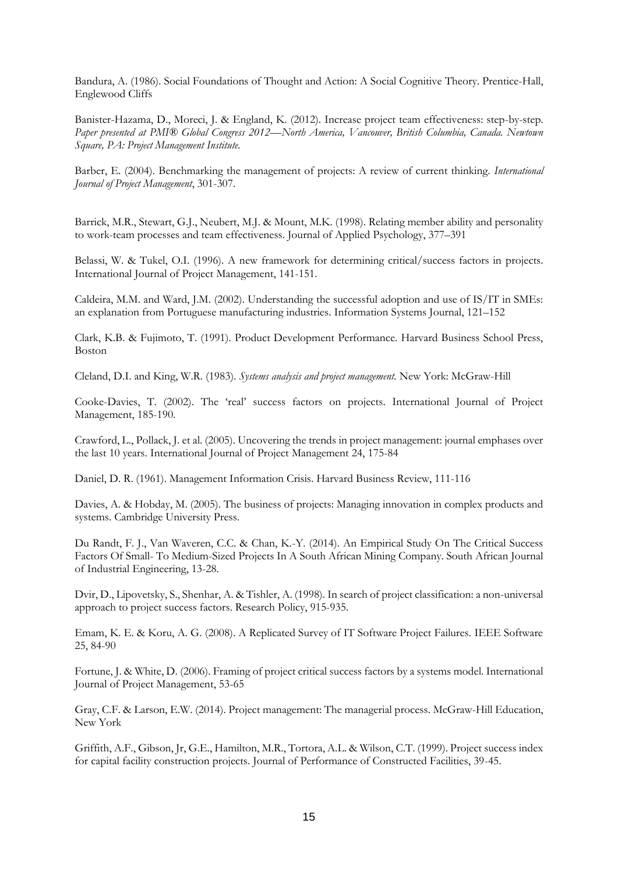Bandura, A. (1986). Social Foundations of Thought and Action: A Social Cognitive Theory. Prentice-Hall, Englewood Cliffs

Banister-Hazama, D., Moreci, J. & England, K. (2012). Increase project team effectiveness: step-by-step. *Paper presented at PMI® Global Congress 2012—North America, Vancouver, British Columbia, Canada. Newtown Square, PA: Project Management Institute.* 

Barber, E. (2004). Benchmarking the management of projects: A review of current thinking. *International Journal of Project Management*, 301-307.

Barrick, M.R., Stewart, G.J., Neubert, M.J. & Mount, M.K. (1998). Relating member ability and personality to work-team processes and team effectiveness. Journal of Applied Psychology, 377–391

Belassi, W. & Tukel, O.I. (1996). A new framework for determining critical/success factors in projects. International Journal of Project Management, 141-151.

Caldeira, M.M. and Ward, J.M. (2002). Understanding the successful adoption and use of IS/IT in SMEs: an explanation from Portuguese manufacturing industries. Information Systems Journal, 121–152

Clark, K.B. & Fujimoto, T. (1991). Product Development Performance. Harvard Business School Press, Boston

Cleland, D.I. and King, W.R. (1983). *Systems analysis and project management.* New York: McGraw-Hill

Cooke-Davies, T. (2002). The 'real' success factors on projects. International Journal of Project Management, 185-190.

Crawford, L., Pollack, J. et al. (2005). Uncovering the trends in project management: journal emphases over the last 10 years. International Journal of Project Management 24, 175-84

Daniel, D. R. (1961). Management Information Crisis. Harvard Business Review, 111-116

Davies, A. & Hobday, M. (2005). The business of projects: Managing innovation in complex products and systems. Cambridge University Press.

Du Randt, F. J., Van Waveren, C.C. & Chan, K.-Y. (2014). An Empirical Study On The Critical Success Factors Of Small- To Medium-Sized Projects In A South African Mining Company. South African Journal of Industrial Engineering, 13-28.

Dvir, D., Lipovetsky, S., Shenhar, A. & Tishler, A. (1998). In search of project classification: a non-universal approach to project success factors. Research Policy, 915-935.

Emam, K. E. & Koru, A. G. (2008). A Replicated Survey of IT Software Project Failures. IEEE Software 25, 84-90

Fortune, J. & White, D. (2006). Framing of project critical success factors by a systems model. International Journal of Project Management, 53-65

Gray, C.F. & Larson, E.W. (2014). Project management: The managerial process. McGraw-Hill Education, New York

Griffith, A.F., Gibson, Jr, G.E., Hamilton, M.R., Tortora, A.L. & Wilson, C.T. (1999). Project success index for capital facility construction projects. Journal of Performance of Constructed Facilities, 39-45.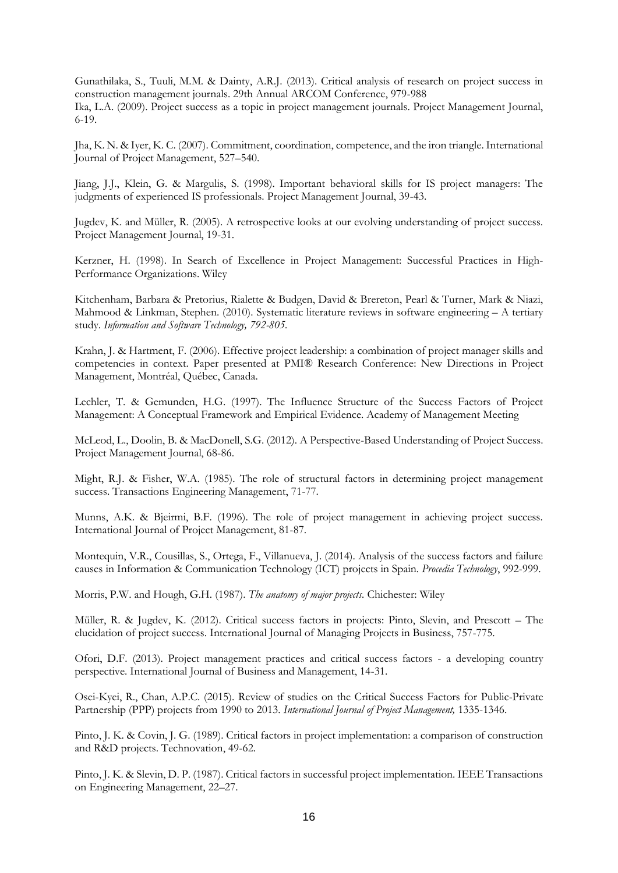Gunathilaka, S., Tuuli, M.M. & Dainty, A.R.J. (2013). Critical analysis of research on project success in construction management journals. 29th Annual ARCOM Conference, 979-988 Ika, L.A. (2009). Project success as a topic in project management journals. Project Management Journal, 6-19.

Jha, K. N. & Iyer, K. C. (2007). Commitment, coordination, competence, and the iron triangle. International Journal of Project Management, 527–540.

Jiang, J.J., Klein, G. & Margulis, S. (1998). Important behavioral skills for IS project managers: The judgments of experienced IS professionals. Project Management Journal, 39-43.

Jugdev, K. and Müller, R. (2005). A retrospective looks at our evolving understanding of project success. Project Management Journal, 19-31.

Kerzner, H. (1998). In Search of Excellence in Project Management: Successful Practices in High-Performance Organizations. Wiley

Kitchenham, Barbara & Pretorius, Rialette & Budgen, David & Brereton, Pearl & Turner, Mark & Niazi, Mahmood & Linkman, Stephen. (2010). Systematic literature reviews in software engineering – A tertiary study. *Information and Software Technology, 792-805.* 

Krahn, J. & Hartment, F. (2006). Effective project leadership: a combination of project manager skills and competencies in context. Paper presented at PMI® Research Conference: New Directions in Project Management, Montréal, Québec, Canada.

Lechler, T. & Gemunden, H.G. (1997). The Influence Structure of the Success Factors of Project Management: A Conceptual Framework and Empirical Evidence. Academy of Management Meeting

McLeod, L., Doolin, B. & MacDonell, S.G. (2012). A Perspective-Based Understanding of Project Success. Project Management Journal, 68-86.

Might, R.J. & Fisher, W.A. (1985). The role of structural factors in determining project management success. Transactions Engineering Management, 71-77.

Munns, A.K. & Bjeirmi, B.F. (1996). The role of project management in achieving project success. International Journal of Project Management, 81-87.

Montequin, V.R., Cousillas, S., Ortega, F., Villanueva, J. (2014). Analysis of the success factors and failure causes in Information & Communication Technology (ICT) projects in Spain. *Procedia Technology*, 992-999.

Morris, P.W. and Hough, G.H. (1987). *The anatomy of major projects.* Chichester: Wiley

Müller, R. & Jugdev, K. (2012). Critical success factors in projects: Pinto, Slevin, and Prescott – The elucidation of project success. International Journal of Managing Projects in Business, 757-775.

Ofori, D.F. (2013). Project management practices and critical success factors - a developing country perspective. International Journal of Business and Management, 14-31.

Osei-Kyei, R., Chan, A.P.C. (2015). Review of studies on the Critical Success Factors for Public-Private Partnership (PPP) projects from 1990 to 2013. *International Journal of Project Management,* 1335-1346.

Pinto, J. K. & Covin, J. G. (1989). Critical factors in project implementation: a comparison of construction and R&D projects. Technovation, 49-62.

Pinto, J. K. & Slevin, D. P. (1987). Critical factors in successful project implementation. IEEE Transactions on Engineering Management, 22–27.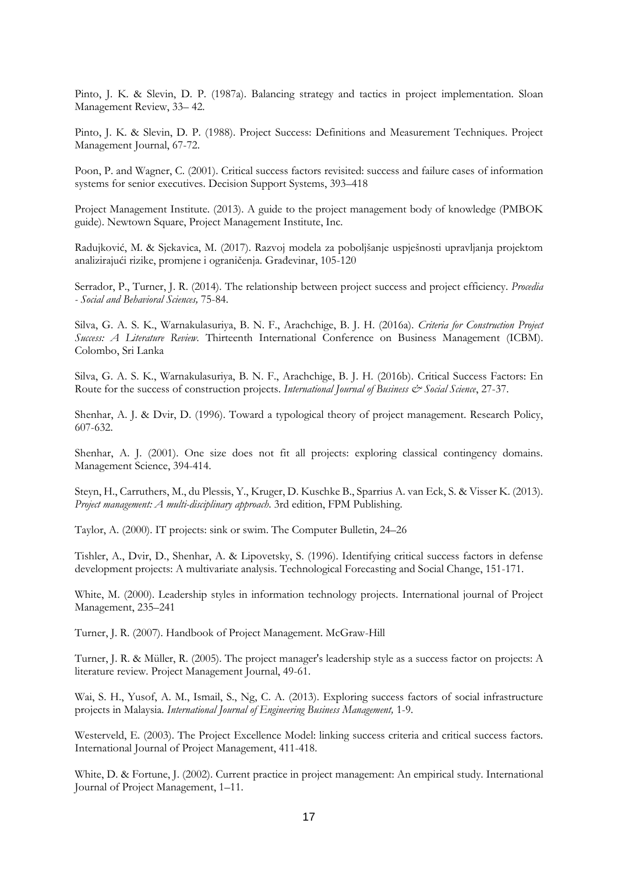Pinto, J. K. & Slevin, D. P. (1987a). Balancing strategy and tactics in project implementation. Sloan Management Review, 33– 42.

Pinto, J. K. & Slevin, D. P. (1988). Project Success: Definitions and Measurement Techniques. Project Management Journal, 67-72.

Poon, P. and Wagner, C. (2001). Critical success factors revisited: success and failure cases of information systems for senior executives. Decision Support Systems, 393–418

Project Management Institute. (2013). A guide to the project management body of knowledge (PMBOK guide). Newtown Square, Project Management Institute, Inc.

Radujković, M. & Sjekavica, M. (2017). Razvoj modela za poboljšanje uspješnosti upravljanja projektom analizirajući rizike, promjene i ograničenja. Građevinar, 105-120

Serrador, P., Turner, J. R. (2014). The relationship between project success and project efficiency. *Procedia - Social and Behavioral Sciences,* 75-84.

Silva, G. A. S. K., Warnakulasuriya, B. N. F., Arachchige, B. J. H. (2016a). *Criteria for Construction Project Success: A Literature Review.* Thirteenth International Conference on Business Management (ICBM). Colombo, Sri Lanka

Silva, G. A. S. K., Warnakulasuriya, B. N. F., Arachchige, B. J. H. (2016b). Critical Success Factors: En Route for the success of construction projects. *International Journal of Business & Social Science*, 27-37.

Shenhar, A. J. & Dvir, D. (1996). Toward a typological theory of project management. Research Policy, 607-632.

Shenhar, A. J. (2001). One size does not fit all projects: exploring classical contingency domains. Management Science, 394-414.

Steyn, H., Carruthers, M., du Plessis, Y., Kruger, D. Kuschke B., Sparrius A. van Eck, S. & Visser K. (2013). *Project management: A multi-disciplinary approach*. 3rd edition, FPM Publishing.

Taylor, A. (2000). IT projects: sink or swim. The Computer Bulletin, 24–26

Tishler, A., Dvir, D., Shenhar, A. & Lipovetsky, S. (1996). Identifying critical success factors in defense development projects: A multivariate analysis. Technological Forecasting and Social Change, 151-171.

White, M. (2000). Leadership styles in information technology projects. International journal of Project Management, 235–241

Turner, J. R. (2007). Handbook of Project Management. McGraw-Hill

Turner, J. R. & Müller, R. (2005). The project manager's leadership style as a success factor on projects: A literature review. Project Management Journal, 49-61.

Wai, S. H., Yusof, A. M., Ismail, S., Ng, C. A. (2013). Exploring success factors of social infrastructure projects in Malaysia. *International Journal of Engineering Business Management,* 1-9.

Westerveld, E. (2003). The Project Excellence Model: linking success criteria and critical success factors. International Journal of Project Management, 411-418.

White, D. & Fortune, J. (2002). Current practice in project management: An empirical study. International Journal of Project Management, 1–11.